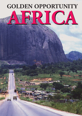# **AFRICA AFRICAGOLDEN OPPORTUNITY**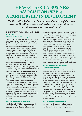### **THE WEST AFRICA BUSINESS ASSOCIATION (WABA) A PARTNERSHIP IN DEVELOPMENT**

*The West Africa Business Association believes that a successful business sector in West Africa creates wealth and plays a crucial role in the region's economic and social development.*

#### **THE FIRST FIFTY YEARS – BY GORDON HUTT**

#### *The First 10 Years-Establishing a Foothold in the Region*

In early 1956 a group of businessmen working for major British companies with interests principally in Nigeria, Gold Cost and Sierra Leone combined to form the West Africa Committee (WAC). The aim was "to aid and stimulate the economic development of West Africa through business". It was a time when major political changes were beginning to emerge. The "twilight of colonialism" and the "dawn of African independence". Just a year later Ghana became the first country in sub-Sahara Africa, apart from Liberia, to gain independence. It was followed by Nigeria in 1960 and Sierra Leone in 1961.

From its inception, the WAC aimed to have an inclusive and fully representative membership. A system of eligibility was adopted to ensure that the major manufacturing and service industries, together with trading companies, agriculture and mining, were balanced, and a permanent resident representative was established in Lagos. The aim of WAC was to create a clearing house for trade information and intelligence on import and exchange controls, taxation and economic planning by developing close contacts with British and West African governments to establish a business environment which would facilitate trade and encourage investment. During the first 10 years membership of WAC rose from the original 31 companies to 148. To maintain a balance of interests, and to operate effectively in the rapidly changing political situation in West Africa, an Executive Committee was formed in 1961 with 10 members representing oil, mining, shipping, banking, accounting, plantations and traders. By 1966 new technologies and indigenous industries were becoming established and new members included computer firms and property companies.

#### *1966 and the New Era of Independence*

In its third decade WAC became truly international. As the rest of West Africa gained independence the activities of UK based multinationals caused WAC

services to expand into the major Francophone countries of the region. Correspondents were established in Côte d'Ivoire, Cameroon and Senegal. This also widened the membership, which rose to 210 by 1976 with companies from France, Netherlands and the United States recognising the benefits of the service, especially for new service companies such as airlines. These developments, and the economic and political developments in the period also caused WAC to respond by amending its objectives to read that "through contacts and representations the aim is to facilitate effective contributions by members towards the economic development of West African countries" - a significant shift of emphasis. In its work on behalf of industrial and commercial enterprises WAC had always been pragmatic and the personal experience of members who lived and worked in the region kept it attuned to the needs of the region on which it is focused.

#### *The Difficult Years - and the Years of Emerging Multinationals*

The decade of the 80s was made difficult by the political upheavals which affected many countries in West Africa at that time, worsened by economic difficulties. Nevertheless the membership continued to develop and in 1986 included several of the new electronics companies like Plessey, Binatone, and Rank Xerox, along with pharmaceutical companies like Roussel and Wellcome. Through the 90s WAC recognised the beginnings of the globalisation of trade and the increasing maturity of many local enterprises in West Africa. The UK office was involved closely with Tropical Africa Advisory Group and the UK Department of Trade and Industry concentrating on trade and investment promotion work as well as links with the Overseas Development Division of the European Commission in Brussels. Contacts were also developed with the World Bank and USAID as well as ECGD and ODA.

#### *The Executive Board and WABA Staff*

With the arrival of the millennium there was a major change as a result of a far-reaching review of the Organisation, the environment in which we were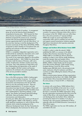

*A view of Table Mountain, South Africa*

operating, and the needs of members. A management group set up by the Executive Board developed a comprehensive business plan. WAC became the West Africa Business Association (WABA) and the Mission Statement recognised the present era by "promoting business links and encouraging the development of business opportunities both in and with West Africa". At the same time, bearing in mind the development of The Economic Community of West Africa (ECOWAS), WABA recognised its need to develop its Francophone links and expertise and continues to take steps to increase its Francophone resources.

WABA is a completely independent organisation and is funded entirely by membership subscription and a small income it generates from the events it organises. The success of any organisation depends on the qualities of the people leading it. WAC/WABA has always been fortunate in both the stature of Directors, staff, and a number of enthusiastic volunteers and the service they have given. Their wide experience of West Africa and their understanding and appreciation of the needs of business together with their contacts and business experience all contribute to the continuing effectiveness of the services provided to members.

#### *The WABA Organisation Today*

Now, at the 50th anniversary, WABA is looking again at ways to improve further its services. It is actively encouraging the involvement of the younger generation of executives and entrepreneurs from UK and West Africa to carry the association forward. There are regional representatives in 10 countries and sister Associations have been formed in Nigeria, Ghana and Cameroon. The well-respected Monthly Newsletters have been supplemented by networking meetings, e-mail reports, news flashes and frequent high-level briefings with British, West and Southern African, High Commissioners and Ambassadors.

Since the year 2000, Africa has moved up to the top of the global agenda. WABA is fully aligned to, and has made significant contributions to, many of the key Africa initiatives which include the development of the Millennium Development Goals, the New Partnership for Africa's Development, the Commission for Africa, and

the Gleneagles' commitments made by the G8. WABA is currently a co-sponsor of Business Action Africa which is the successor to the CfA. WABA's main aim within these fora is the active promotion of "capacity building". WABA also accepts its social responsibility to the communities within which its members live and work and supports several humanitarian initiatives especially Sight Savers International which operates extensively throughout West Africa.

#### *Linkages and Southern Africa Business Forum (SABF)*

In 2005, in order to widen the network, WABA established the SABF as a successor to the defunct Southern Africa Business Association thus giving WABA/SABF an unrivalled pan-African dimension enabling it to keep in tune with the rapidly developing trade links between West and Southern Africa. As a member of the British African Business Association (BABA), WABA is linked directly into the European Union (EU) and the influential, 2,000 member strong, European Business Council for Africa and the Mediterranean (EBCAM) which is the principal private sector interlocutor of the EU institutions and African countries on matters affecting the interests of the private sector in Africa.

Effective communications between all these organisations are enhanced by the fact that in UK, WABA, SABF, BABA and the Eastern Africa Association (EAA) locate within the same premises in Vincent St SW1, in Westminster.

#### *The Future*

In common with current theory, WABA believes that a responsible and profitable private sector has a crucial role to play in the development process. Thus, as far as the future is concerned, the WABA organisation, being the only organisation promoting business links across the whole of West Africa, with strong European linkages and developing links into Southern Africa, believes by promoting the interest of its members it can play an important role in the economic development of Africa, especially within the ECOWAS (Economic Community of West Africa) region.

The WABA organisation now has over 350 members, all committed to this end.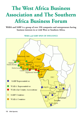### **The West Africa Business Association and The Southern Africa Business Forum**

**WABA and SABF is a group of over 350 companies and entrepreneurs having business interests in or with West or Southern Africa.**

**WABA and SABF SPAN OF INFLUENCE**

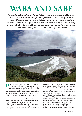## **WABA AND SABF**

*The Southern Africa Business Forum (SABF) came into existence in 2004 as the outcome of a WABA initiative to fill the gap created by the demise of the former Southern Africa Business Association (SABA) with a new organisation under its umbrella. The forum was officially launched in March 2005 by the then Treasury Secretary Mr Paul Boateng MP and Dr Greg Mills, Director of the South African Foundation at a reception at the Botswana High Commission.*



**O**perating on the same lines as WABA, SABF aims<br>to bring together business interests across Southern Africa and through the WABA link, across the continent. Their coming together is achieved through a shared administration and the opportunity for members of both organisations to meet and attend each other's meetings. The resulting contacts are already bearing fruit.

The emphasis on collaboration and shared objectives aims to help both local and overseas based enterprises. Operating as separate bodies, but in close collaboration with each other SABF/WABA provides for the benefits of experience in one country or region being applied across the continent. The need for this is

underlined by the emergence of South Africa from the apartheid era. Now with all that both Southern and West Africa stand to give and to gain from each other's strengths, experience and expertise the SABF/WABA link provides the ideal vehicle to help Africa exploit its strengths and achieve prosperity.

SABF welcomes members from all parts of Africa. Like WABA it has a full programme of meetings and briefings and representatives in the major countries of the region. It also provides a daily business related news service via the internet. Further information can be gained from our website www.sabf.co.uk. Prospective members should e-mail info@waba.co.uk or write to SABF at 2 Vincent Street, London SW1P 4LD.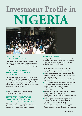# **Investment Profile in NIGERIA**



#### **PRINCIPAL LAWS ON FOREIGN INVESTMENT:**

The principal laws regulating foreign investments are: the Nigeria Investment Promotion Commission Decree No. 16 of 1995 and the Foreign Exchange (Monitoring and Miscellaneous Provisions) decree No. 17 of 1995.

#### **DE-REGULATION OF EQUITY STRUCTURE IN NIGERIAN ENTERPRISES:**

Effectively, the Nigerian Enterprises Promotion (Repeal) Decree No.7 of 1995 has abolished any restrictions, in respect of the limits of foreign shareholding, in Nigeria registered/domiciled enterprises. The only enterprises that are still exempted from free and unrestricted foreign participation are those involved in:

- Production of arms, ammunition, etc
- Production of and dealing in narcotic drugs and psychotropic substances

#### **THE NIGERIA INVESTMENT PROMOTION COMMISSION DECREE NO.16, ("NIPC DECREE"):**

This decree established the Nigerian Investment Promotion Commission ("NIPC") as the successor to Industrial Development Coordination Committee (IDCC).

#### *Functions and Powers*

The Nigeria Investment Promotion Commission (NIPC) is an Agency of the Federal Government with perpetual succession and a common seal, which is specially established, among other things, to:

- Co-ordinate, monitor, encourage and provide necessary assistance and guidance for the establishment and operation of enterprises in Nigeria.
- Initiate and support measures, which enhances the investment climate in Nigeria for both Nigerian and non-Nigerian investors.
- Promote investments in and outside Nigeria through effective means.
- Collect, collate, analyze and disseminate information about investment opportunities and sources of investment capital and advise on request, the availability, chance or suitability of partners in jointventure projects.
- Register and keep records of all enterprises to which the NIPC Decree legislation applies.
- Identify specific projects and invite interested investors for participation in those projects.
- Initiate, organize and participate in promotional activities such as exhibitions, conferences and seminars for the stimulation of investors.
- Maintain liaison between investor and Ministries, government department and agencies, institutional lenders and other authorities concerned with investments.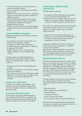- Provide and disseminate up-to-date information on incentives available to investors.
- Assist incoming and existing investors by providing support services.
- Evaluate the impart of the Commission in investment in Nigeria and recommend appropriate remedies and additional incentives.
- Advise the Federal Government on policy matters, including fiscal measures designed to promote the industrialization of Nigeria or the general development of the economy.
- Perform, such other functions as are supplementary or incidental to the attainment of the objectives of NIPC Decree.

#### *Provisions Relating to Investment*

Notable amongst the provisions relating to investments are the following:

- A non-Nigerian may invest and participate in the operation of any enterprise in Nigeria
- An enterprise in which foreign participation is permitted, shall after its incorporation or registration, be registered with the NIPC.
- Foreign enterprises may buy the shares of any Nigerian enterprises in any convertible foreign currency.

A foreign investor in an approved enterprise is guaranteed unconditional transferability of funds through an authorized dealer, in freely convertible currency, of:

- Dividends or profit (net of taxes) attributable to the investment.
- Payments in respect of loan servicing where a foreign loan has been obtained.
- The remittance of proceeds (net of all taxes) and other obligations in the events of sale or liquidation of the enterprise or any interest attributable to the investment.

#### *Priority Areas of Investment*

The NIPC issues guidelines and procedures, which specify priority areas of investment and prescribed incentives and benefits which are in conformity with government policy.

#### *Incentives for Special Investment*

For the purpose of promoting identified strategic or major investment, the NIPC may in consultation with appropriate Government agencies negotiate specific incentive packages for the promotion of investment.

#### **INVESTMENT PROTECTION ASSURANCE:**

The NIPC Decree provides that:

- 1. No enterprise shall be nationalized or expropriated by any Government of the Federation; and
- 2. No person who owns, whether wholly or in part, the capital of any enterprise shall be compelled by law to surrender his interest in capital to any other persons.

There will be no acquisition of enterprises by the Federal Government unless the acquisition is in the national interest or for a public purpose under a law which makes provision for:

- 1. Payment of fair and adequate compensation; and
- 2. A right of access to the courts for the determination of the investor's interest of right and the amount of compensation to which he is entitled.

Compensation shall be paid without undue delay, and authorization given for its repatriation in convertible currency where applicable.

Apart from the investment guarantee assurance of the NIPC Decree, countries are welcome to execute and enter into bilateral Investment Promotion and Protection Agreements ("IPP") with the Nigerian government.

#### **PRIVATISATION POLICY:**

The Federal and State governments have endeavored to play an active catalytic role in the economy by initiating and acting as sizeable stakeholders in a number of core industries. The 1997 Budget announced that all laws that inhibit competition in certain sectors of the Nigerian economy would be repealed. Accordingly, with effect from 1998, private sector investors are now free to join or compete with government-owned public utility corporations.

The Public Enterprises Promotion and Commercialization Act, is being prepared to authorize the partial privatization of government enterprises in the following sectors:

- Telecommunications.
- Electricity (Generation and Distribution).
- Petroleum Refining.
- Coal Bitumen Production (Mining, Processing and Export).
- Tourism generation (Tour and Travel, Hospitality, etc).

Within the context of the liberal policy, both foreigners and nationals are eligible to participate and invest in the privatization of the public enterprises.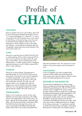# **Profile of GHANA**

#### **LOCATION**

Ghana is located on the west coast of Africa, about 750 km north of the equator between the latitudes of 4 and 11.5° north and longitude 3.11° West and 1.11° East. It is bounded on the north by Burkina Faso, on the west by La Côte d'lvoire, on the east by Togo and on the south by the Gulf of Guinea (Atlantic Ocean). Tema, the industrial city, which is adjacent to Accra, the capital city of Ghana, is on the Greenwich Meridian (zero line of longitude), making Ghana the closest landmark to the centre of the world, or 0°.

#### **LAND**

Ghana has a total land area of 238,537 km2 (92,100 sq. miles) stretching 672 km north to south and 357 km east to west. Its physical size makes it about the same size as Great Britain. Out of a total land area of 23 million hectares, 13 million hectares (57%) is suitable for agricultural production, and 5.3 million hectares (39%) of this is under cultivation.

#### **CLIMATE**

Ghana has a tropical climate. The temperature is generally between 21-32°C (70-90°F). There are two rainy seasons, from March to July and from September to October, separated by a short cool dry season in August and a relatively long dry season in the south from mid-October to March. The north, also with tropical climate, is dry and falls partly within the Sahelian zone. Annual rainfall in the south averages 2,030 mm, but varies greatly throughout the country, with the heaviest rainfall in the south-western part.

#### **TOPOGRAPHY**

Ghana is not a mountainous country, but has some highlands and some steep escarpments in the middle portions and isolated places in the northern parts. The land is relatively flat and the altitude is generally below 500m, with more than half of the country below 200m. The Volta River basin dominates the country's river system and includes the 8,480km2 Lake Volta (the largest artificial lake in the world), formed behind the



Akosombo hydroelectric dam. The coastal area consists of plains and numerous lagoons near the estuaries of rivers.

#### **VEGETATION**

In terms of vegetation, the north is predominantly savannah and the middle section (extending to the south-western part) is typical rainforest, while the coastal section has thicket interspersed with savannah.

#### **HISTORICAL BACKGROUND**

The name Ghana originates from an African empire, which was located around River Niger between 400 and 1240AD.The period between the 15th and 19th Centuries witnessed a power struggle for the country amongst European nations for fortunes in gold and ivory, following the advent of the Portuguese who discovered gold in 1471 and built Elmina Castle in 1482. The other Europeans were the Dutch, Swedes, Danes, Prussians and the British. The battle for control and supremacy over the land culminated in the building of many forts and castles, which were used not only as trading posts but also as dungeons for the infamous slave trade. It is significant to note that out of the about forty-three forts and castles in West Africa, thirty-three are in Ghana alone. Out of these twenty five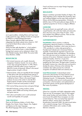

are in good condition, including Elmina and Cape Coast Castles and Fort St. Jago, all three of which are recognised by UNESCO as World Heritage Monuments. Ghana, formerly called the Gold Coast, became independent from British colonial rule on March 6, 1957. It was the first black African colony to achieve independence.

Ghana has been aptly described as " a bird watcher's paradise, an eco-tourism haven, a cultural delight a heritage lover's passion and an adventurer's dream" (Mr. Jake Obetsebi Lamptey, March 2004). The country holds many attractions, notably:

#### **RESOURCES**

- Rich mineral resources such as gold, diamonds, manganese, limestone, bauxite, iron ore as well as various clays and granite deposits. In 1999, Ghana produced 2,620,096 million ounces of gold and 684,033.4 carats of diamonds. (Ghana is the second largest producer of gold in Africa).
- Extensive forests, which are arguably the best managed in West Africa (with 252 permanent forest reserves in the rain forest zone alone. In total about 11% of Ghana is defined as forest.). Ghana is the second largest producer of cocoa in the world. It is also the third largest producer of timber and the second largest exporter of wood and wood products in Africa:
- Rich marine fishing resources (tuna and game fishing);
- Beautiful landscape, inviting sunshine, pristine beaches, exotic wildlife and exciting national parks and game reserves;
- Rich culture and tradition and a world acclaimed warmth and hospitality of its people.

#### **THE PEOPLE**

There are 56 Ghanaian dialects, of which Akan, Dangbe, Ewe, Kasem, Gonja, Dagare, Gas, Dagbani and Nzema are the major languages. The official language of the country is English, but

French and Hausa are two major foreign languages spoken in the country.

#### **RELIGION**

Ghana's constitution guarantees freedom of religion. The 2002 Population Census indicates that Christianity, Islam and Traditional Religion are the major faiths practiced in Ghana with the following representation: Christianity (68.8%), Islam (15.9%) and traditional religion (8.5%). A significant proportion (6.1%) has no religious affiliation.

#### **LEISURE**

The country boasts very good golf courses, safe and unspoilt beaches with world class hotels and restaurants. Most cities have many active 'Keep Fit Clubs', which have members from different countries. There are also facilities for game fishing (marlin).

#### **GOVERNMENT**

**Constitution:** Ghana practises a multiparty, parliamentary democracy based on a constitution. This Fourth Republican Constitution, which came into force in 1992, provides for a unitary state governed by a President (and Cabinet) and a Unicameral National Assembly. It entrenches the separation of powers and offers appropriate checks and balances. The presidency has a four-year term and an incumbent can serve for a maximum of two terms. Parliament comprises a 200-seat National Assembly, which has a 4-year term. The Supreme Court is at the apex of Ghana's judiciary headed by the Chief Justice. The legal system is based on the English Common Law, where the courts are bound to develop the notions of fairness to the individual. The constitution also makes provision for continued recognition of traditional chiefs and customary law.

**Local Government:** A decentralised central government administration has been fostered at local government level where there are 10 Regional Coordinating Councils, 110 Metropolitan, Municipal and District Assemblies which serve to involve grassroots participation in the formulation and implementation of government policies and the general development of their areas of jurisdiction.

#### **MEDIA**

Ghana has a pluralistic and highly independent media. There are over 50 newspapers, most of which appear daily, except Sundays and some holidays. Two of the press houses that publish these newspapers are stateowned enterprises. There are twenty-three approved television stations, among which is the Ghana Broadcasting Corporation (GBC), the state-owned station with a national coverage. Some 125 frequency modulation (FM) stations and a number of cable television companies.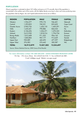#### **POPULATION**

Ghana's population is estimated at about 18.9 million and grows at 2.7% annually. Most of the population is concentrated in the southern part of the country with the highest density occurring in urban and cocoa producing areas. The population data by Region, Sex and Capital (administrative towns) are as follows:

| <b>REGION</b>        | <b>POPULATION</b> | <b>MALE</b> | <b>FEMALE</b> | <b>CAPITAL</b>    |
|----------------------|-------------------|-------------|---------------|-------------------|
| Western              | 1,924,577         | 978,176     | 946,401       | Takoradi          |
| Central              | 1,593,823         | 760,221     | 833,602       | <b>Cape Coast</b> |
| <b>Greater Accra</b> | 2,905,726         | 1,436,135   | 1,469,591     | Accra             |
| Volta                | 1,635,421         | 790,886     | 844,535       | Ho                |
| Eastern              | 2,106,696         | 1,036,371   | 1,070,325     | Koforidua         |
| Ashanti              | 3,612,950         | 1,818,216   | 1,794,734     | Kumasi            |
| <b>Brong Ahafo</b>   | 1,815,408         | 911,263     | 904,145       | Sunyani           |
| Northern             | 1,820,806         | 907,177     | 913,629       | Tamale            |
| <b>Upper East</b>    | 920,089           | 442,492     | 477,597       | Bolgatanga        |
| <b>Upper West</b>    | 576,583           | 276,445     | 300,387       | Wa                |
| <b>TOTAL</b>         | 18,912,079        | 9,357,382   | 9,554,697     |                   |
|                      |                   |             |               |                   |

Source: Ghana Statistical Service, 2000 Census (Final Results)

*For more information contact:* THE CHIEF EXECUTIVE - GHANA INVESTMENT PROMOTION CENTRE P.O. Box -193, Accra, Ghana. Tel: (+33)-(21)-66 5125 - 9. Fax: (+233)-(21)-66 3801. E-mail: info@gipc.org.gh Website: www.gipc.org.gh